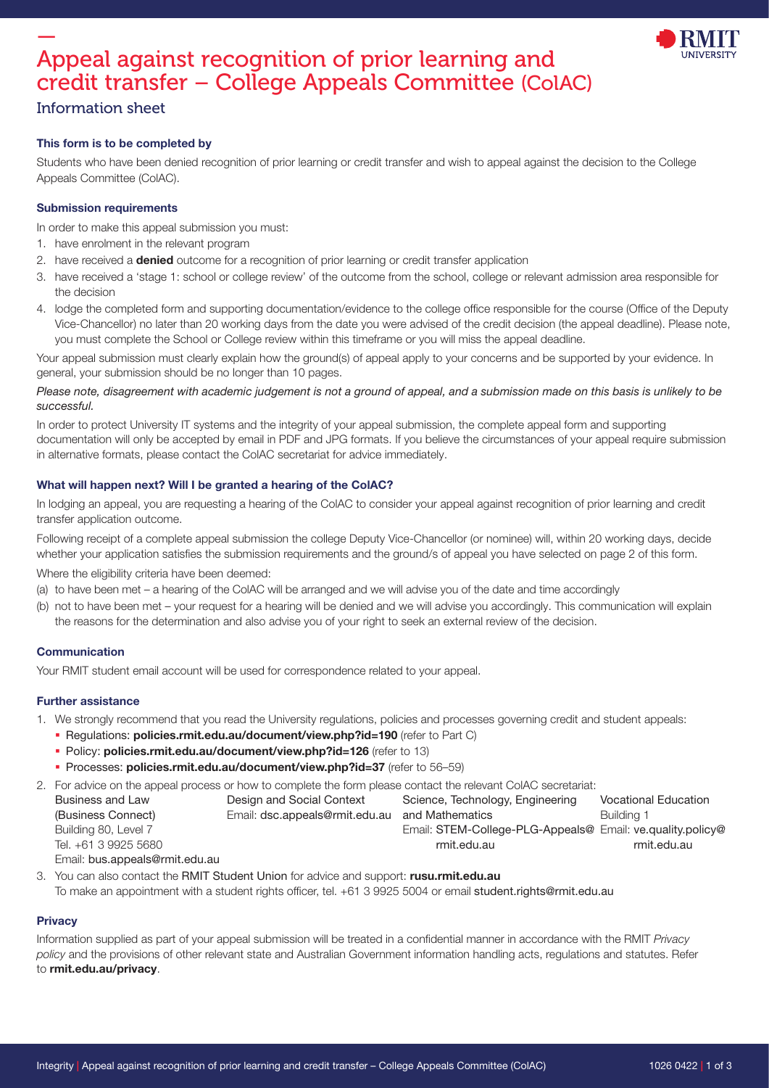

# — Appeal against recognition of prior learning and credit transfer – College Appeals Committee (ColAC)

### Information sheet

### This form is to be completed by

Students who have been denied recognition of prior learning or credit transfer and wish to appeal against the decision to the College Appeals Committee (ColAC).

#### Submission requirements

In order to make this appeal submission you must:

- 1. have enrolment in the relevant program
- 2. have received a **denied** outcome for a recognition of prior learning or credit transfer application
- 3. have received a 'stage 1: school or college review' of the outcome from the school, college or relevant admission area responsible for the decision
- 4. lodge the completed form and supporting documentation/evidence to the college office responsible for the course (Office of the Deputy Vice-Chancellor) no later than 20 working days from the date you were advised of the credit decision (the appeal deadline). Please note, you must complete the School or College review within this timeframe or you will miss the appeal deadline.

Your appeal submission must clearly explain how the ground(s) of appeal apply to your concerns and be supported by your evidence. In general, your submission should be no longer than 10 pages.

#### Please note, disagreement with academic judgement is not a ground of appeal, and a submission made on this basis is unlikely to be successful.

In order to protect University IT systems and the integrity of your appeal submission, the complete appeal form and supporting documentation will only be accepted by email in PDF and JPG formats. If you believe the circumstances of your appeal require submission in alternative formats, please contact the ColAC secretariat for advice immediately.

#### What will happen next? Will I be granted a hearing of the ColAC?

In lodging an appeal, you are requesting a hearing of the ColAC to consider your appeal against recognition of prior learning and credit transfer application outcome.

Following receipt of a complete appeal submission the college Deputy Vice-Chancellor (or nominee) will, within 20 working days, decide whether your application satisfies the submission requirements and the ground/s of appeal you have selected on page 2 of this form.

Where the eligibility criteria have been deemed:

- (a) to have been met a hearing of the ColAC will be arranged and we will advise you of the date and time accordingly
- (b) not to have been met your request for a hearing will be denied and we will advise you accordingly. This communication will explain the reasons for the determination and also advise you of your right to seek an external review of the decision.

#### Communication

Your RMIT student email account will be used for correspondence related to your appeal.

#### Further assistance

- 1. We strongly recommend that you read the University regulations, policies and processes governing credit and student appeals:
	- Regulations: [policies.rmit.edu.au/document/view.php?id=190](https://policies.rmit.edu.au/document/view.php?id=190) (refer to Part C)
	- Policy: [policies.rmit.edu.au/document/view.php?id=126](https://policies.rmit.edu.au/document/view.php?id=126) (refer to 13)
	- **Processes: [policies.rmit.edu.au/document/view.php?id=37](https://policies.rmit.edu.au/document/view.php?id=37)** (refer to 56-59)
- 2. For advice on the appeal process or how to complete the form please contact the relevant ColAC secretariat:

| Business and Law               | Design and Social Context      | Science, Technology, Engineering                           | Vocational Education |
|--------------------------------|--------------------------------|------------------------------------------------------------|----------------------|
| (Business Connect)             | Email: dsc.appeals@rmit.edu.au | and Mathematics                                            | Buildina 1           |
| Building 80, Level 7           |                                | Email: STEM-College-PLG-Appeals@ Email: ve.quality.policy@ |                      |
| Tel. +61 3 9925 5680           |                                | rmit.edu.au                                                | rmit.edu.au          |
| Email: bus.appeals@rmit.edu.au |                                |                                                            |                      |

- 3. You can also contact the RMIT Student Union for advice and support: [rusu.rmit.edu.au](https://rusu.rmit.edu.au/)
	- To make an appointment with a student rights officer, tel. +61 3 9925 5004 or email [student.rights@rmit.edu.au](mailto:student.rights@rmit.edu.au)

#### **Privacy**

Information supplied as part of your appeal submission will be treated in a confidential manner in accordance with the RMIT Privacy policy and the provisions of other relevant state and Australian Government information handling acts, regulations and statutes. Refer to [rmit.edu.au/privacy](https://www.rmit.edu.au/utilities/privacy).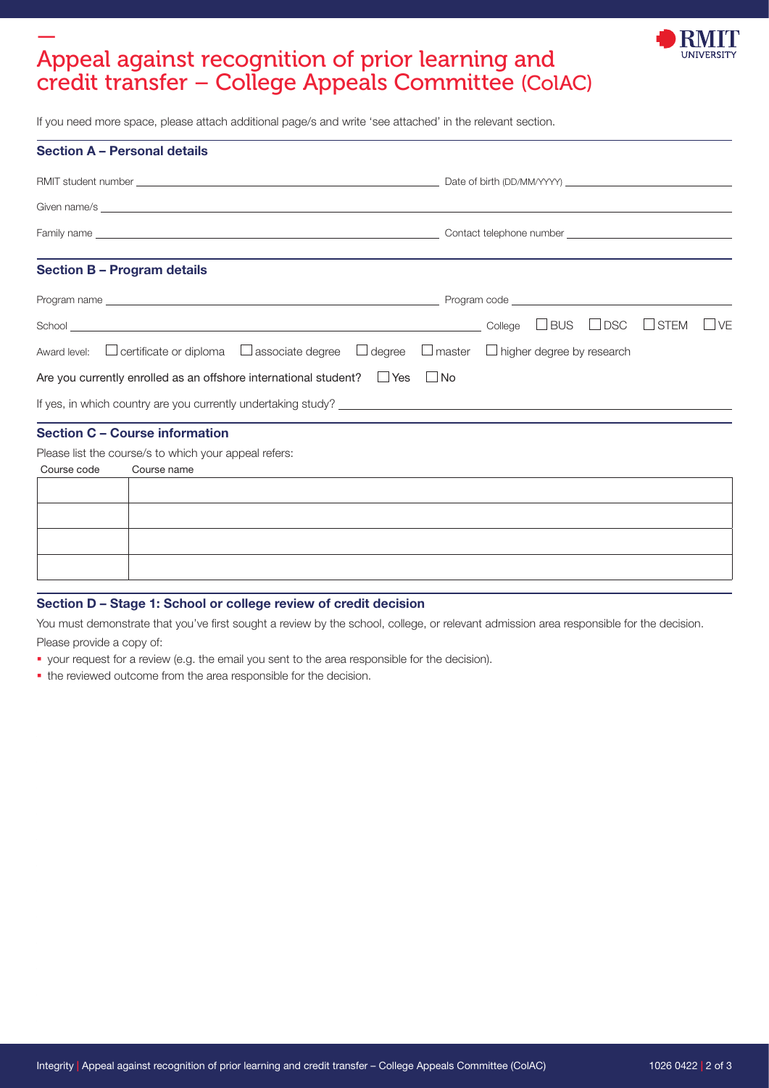## — Appeal against recognition of prior learning and credit transfer – College Appeals Committee (ColAC)



If you need more space, please attach additional page/s and write 'see attached' in the relevant section.

|             | <b>Section A - Personal details</b>                                                                                                  |
|-------------|--------------------------------------------------------------------------------------------------------------------------------------|
|             |                                                                                                                                      |
|             |                                                                                                                                      |
|             |                                                                                                                                      |
|             | <b>Section B - Program details</b>                                                                                                   |
|             |                                                                                                                                      |
|             | $\Box$ BUS $\Box$ DSC<br>$\Box$ STEM<br>$\vert \ \vert \vee \vDash$                                                                  |
|             | Award level: $\Box$ certificate or diploma $\Box$ associate degree $\Box$ degree $\Box$ master $\Box$ higher degree by research      |
|             | Are you currently enrolled as an offshore international student? $\square$ Yes<br>$\Box$ No                                          |
|             |                                                                                                                                      |
|             | <b>Section C - Course information</b>                                                                                                |
|             | Please list the course/s to which your appeal refers:                                                                                |
| Course code | Course name<br><u> 1989 - Andrea State Barbara, amerikan personal di sebagai personal di sebagai personal di sebagai personal di</u> |
|             |                                                                                                                                      |
|             |                                                                                                                                      |
|             |                                                                                                                                      |

#### Section D – Stage 1: School or college review of credit decision

You must demonstrate that you've first sought a review by the school, college, or relevant admission area responsible for the decision.

Please provide a copy of:

- your request for a review (e.g. the email you sent to the area responsible for the decision).
- $\bullet$  the reviewed outcome from the area responsible for the decision.